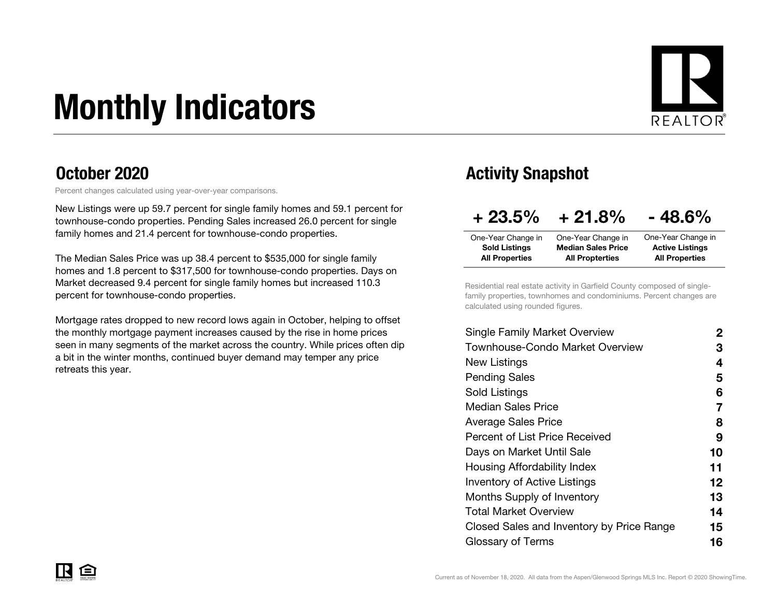# Monthly Indicators



### October 2020

Percent changes calculated using year-over-year comparisons.

New Listings were up 59.7 percent for single family homes and 59.1 percent for townhouse-condo properties. Pending Sales increased 26.0 percent for single family homes and 21.4 percent for townhouse-condo properties.

The Median Sales Price was up 38.4 percent to \$535,000 for single family homes and 1.8 percent to \$317,500 for townhouse-condo properties. Days on Market decreased 9.4 percent for single family homes but increased 110.3 percent for townhouse-condo properties.

Mortgage rates dropped to new record lows again in October, helping to offset the monthly mortgage payment increases caused by the rise in home prices seen in many segments of the market across the country. While prices often dip a bit in the winter months, continued buyer demand may temper any price retreats this year.

### Activity Snapshot

| $+23.5%$              | $+21.8%$                  | $-48.6%$               |
|-----------------------|---------------------------|------------------------|
| One-Year Change in    | One-Year Change in        | One-Year Change in     |
| <b>Sold Listings</b>  | <b>Median Sales Price</b> | <b>Active Listings</b> |
| <b>All Properties</b> | <b>All Propterties</b>    | <b>All Properties</b>  |

Residential real estate activity in Garfield County composed of singlefamily properties, townhomes and condominiums. Percent changes are calculated using rounded figures.

| Single Family Market Overview             | $\mathbf{2}$      |
|-------------------------------------------|-------------------|
| Townhouse-Condo Market Overview           | З                 |
| New Listings                              | 4                 |
| <b>Pending Sales</b>                      | 5                 |
| Sold Listings                             | 6                 |
| <b>Median Sales Price</b>                 | 7                 |
| <b>Average Sales Price</b>                | 8                 |
| <b>Percent of List Price Received</b>     | 9                 |
| Days on Market Until Sale                 | 10                |
| Housing Affordability Index               | 11                |
| <b>Inventory of Active Listings</b>       | $12 \overline{ }$ |
| <b>Months Supply of Inventory</b>         | 13                |
| Total Market Overview                     | 14                |
| Closed Sales and Inventory by Price Range | 15                |
| Glossary of Terms                         | 16                |
|                                           |                   |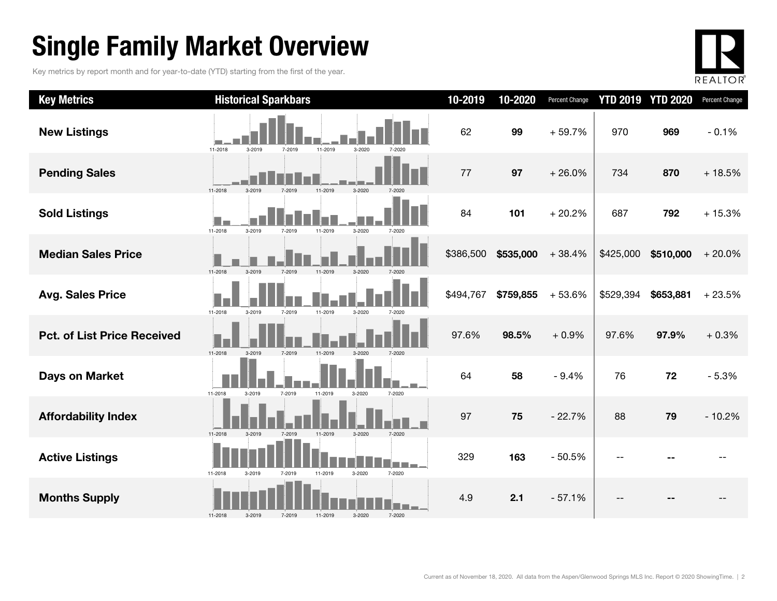### Single Family Market Overview

Key metrics by report month and for year-to-date (YTD) starting from the first of the year.



| <b>Key Metrics</b>                 | <b>Historical Sparkbars</b>                                         | 10-2019   | 10-2020   | <b>Percent Change</b> |           | <b>YTD 2019 YTD 2020</b> | Percent Change |
|------------------------------------|---------------------------------------------------------------------|-----------|-----------|-----------------------|-----------|--------------------------|----------------|
| <b>New Listings</b>                | 11-2018<br>3-2019<br>7-2019<br>11-2019<br>3-2020<br>7-2020          | 62        | 99        | $+59.7%$              | 970       | 969                      | $-0.1%$        |
| <b>Pending Sales</b>               | 11-2018<br>3-2020<br>3-2019<br>7-2019<br>11-2019                    | 77        | 97        | $+26.0%$              | 734       | 870                      | $+18.5%$       |
| <b>Sold Listings</b>               | 8 I F<br>11-2018<br>3-2019<br>11-2019<br>3-2020<br>7-2019<br>7-2020 | 84        | 101       | $+20.2%$              | 687       | 792                      | $+15.3%$       |
| <b>Median Sales Price</b>          | 11-2018<br>3-2019<br>7-2019<br>11-2019<br>3-2020<br>7-2020          | \$386,500 | \$535,000 | $+38.4%$              | \$425,000 | \$510,000                | $+20.0%$       |
| <b>Avg. Sales Price</b>            | 11-2019<br>11-2018<br>3-2019<br>7-2019<br>3-2020<br>7-2020          | \$494,767 | \$759,855 | $+53.6%$              | \$529,394 | \$653,881                | $+23.5%$       |
| <b>Pct. of List Price Received</b> | 11-2018<br>3-2019<br>7-2019<br>11-2019<br>3-2020<br>7-2020          | 97.6%     | 98.5%     | $+0.9%$               | 97.6%     | 97.9%                    | $+0.3%$        |
| <b>Days on Market</b>              | 11-2018<br>7-2019<br>11-2019<br>7-2020<br>3-2019<br>3-2020          | 64        | 58        | $-9.4%$               | 76        | 72                       | $-5.3%$        |
| <b>Affordability Index</b>         | 11-2018<br>7-2019<br>11-2019<br>3-2020<br>7-2020<br>3-2019          | 97        | 75        | $-22.7%$              | 88        | 79                       | $-10.2%$       |
| <b>Active Listings</b>             | 11-2018<br>11-2019<br>3-2020<br>7-2020<br>3-2019<br>7-2019          | 329       | 163       | $-50.5%$              |           |                          |                |
| <b>Months Supply</b>               | 3-2020<br>7-2020<br>11-2018<br>3-2019<br>7-2019<br>11-2019          | 4.9       | 2.1       | $-57.1%$              |           |                          |                |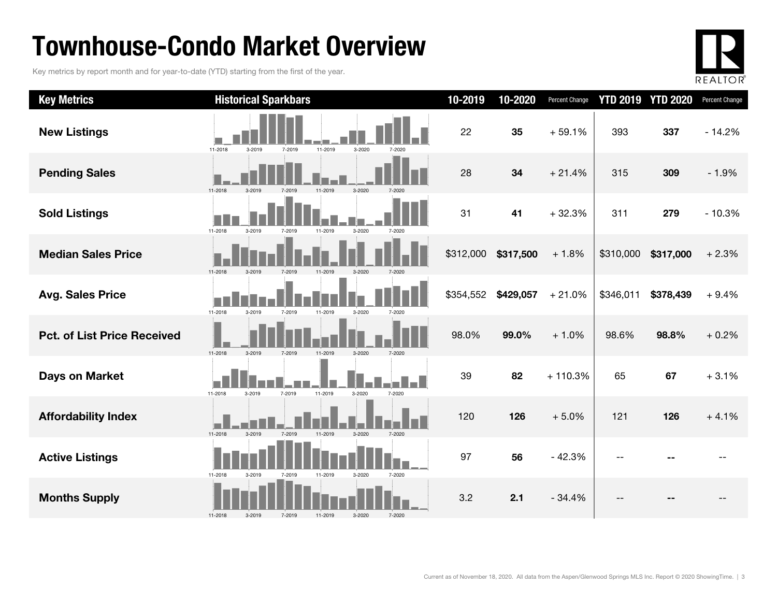### Townhouse-Condo Market Overview

Key metrics by report month and for year-to-date (YTD) starting from the first of the year.



| <b>Key Metrics</b>                 | <b>Historical Sparkbars</b>                                  | 10-2019   | 10-2020   | <b>Percent Change</b> |           | <b>YTD 2019 YTD 2020</b> | Percent Change |
|------------------------------------|--------------------------------------------------------------|-----------|-----------|-----------------------|-----------|--------------------------|----------------|
| <b>New Listings</b>                | 11-2019<br>11-2018<br>3-2019<br>7-2019<br>3-2020<br>7-2020   | 22        | 35        | $+59.1%$              | 393       | 337                      | $-14.2%$       |
| <b>Pending Sales</b>               | 3-2020<br>11-2018<br>$3 - 2010$                              | 28        | 34        | $+21.4%$              | 315       | 309                      | $-1.9%$        |
| <b>Sold Listings</b>               | 11-2018<br>3-2019<br>11-2019<br>3-2020<br>7-2019<br>7-2020   | 31        | 41        | $+32.3%$              | 311       | 279                      | $-10.3%$       |
| <b>Median Sales Price</b>          | 11-2018<br>7-2019<br>11-2019<br>$3 - 2020$                   | \$312,000 | \$317,500 | $+1.8%$               | \$310,000 | \$317,000                | $+2.3%$        |
| <b>Avg. Sales Price</b>            | 11-2018<br>3-2019<br>7-2019<br>11-2019<br>3-2020<br>7-2020   | \$354,552 | \$429,057 | $+21.0%$              | \$346,011 | \$378,439                | $+9.4%$        |
| <b>Pct. of List Price Received</b> | 11-2018<br>$3 - 2019$<br>$3 - 2020$<br>7-2019<br>11-2019     | 98.0%     | 99.0%     | $+1.0%$               | 98.6%     | 98.8%                    | $+0.2%$        |
| Days on Market                     | 11-2018<br>3-2019<br>7-2019<br>11-2019<br>3-2020<br>7-2020   | 39        | 82        | $+110.3%$             | 65        | 67                       | $+3.1%$        |
| <b>Affordability Index</b>         | 11-2018<br>7-2019<br>11-2019<br>3-2020<br>$3-2019$<br>7-2020 | 120       | 126       | $+5.0%$               | 121       | 126                      | $+4.1%$        |
| <b>Active Listings</b>             | 11-2018<br>3-2019<br>11-2019<br>3-2020<br>7-2020<br>7-2019   | 97        | 56        | $-42.3%$              |           |                          |                |
| <b>Months Supply</b>               | 7-2020<br>11-2018<br>3-2019<br>7-2019<br>11-2019<br>3-2020   | 3.2       | 2.1       | $-34.4%$              |           |                          |                |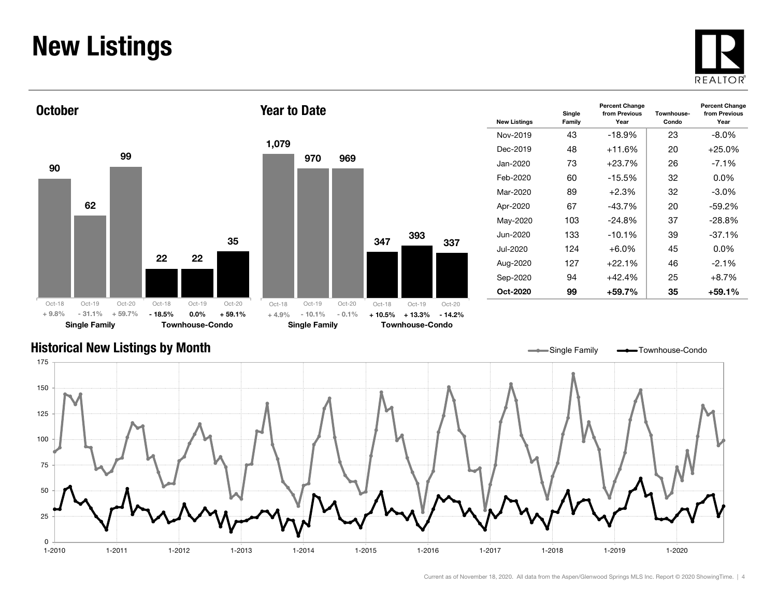### New Listings







| <b>New Listings</b> | Single<br>Family | <b>Percent Change</b><br>from Previous<br>Year | Townhouse-<br>Condo | <b>Percent Change</b><br>from Previous<br>Year |
|---------------------|------------------|------------------------------------------------|---------------------|------------------------------------------------|
| Nov-2019            | 43               | $-18.9\%$                                      | 23                  | -8.0%                                          |
| Dec-2019            | 48               | $+11.6%$                                       | 20                  | $+25.0%$                                       |
| Jan-2020            | 73               | $+23.7%$                                       | 26                  | $-7.1%$                                        |
| Feb-2020            | 60               | $-15.5\%$                                      | 32                  | $0.0\%$                                        |
| Mar-2020            | 89               | $+2.3%$                                        | 32                  | $-3.0\%$                                       |
| Apr-2020            | 67               | $-43.7%$                                       | 20                  | $-59.2%$                                       |
| May-2020            | 103              | $-24.8%$                                       | 37                  | $-28.8%$                                       |
| Jun-2020            | 133              | $-10.1%$                                       | 39                  | $-37.1%$                                       |
| Jul-2020            | 124              | +6.0%                                          | 45                  | $0.0\%$                                        |
| Aug-2020            | 127              | $+22.1%$                                       | 46                  | $-2.1\%$                                       |
| Sep-2020            | 94               | $+42.4%$                                       | 25                  | $+8.7%$                                        |
| Oct-2020            | 99               | +59.7%                                         | 35                  | +59.1%                                         |

#### Historical New Listings by Month

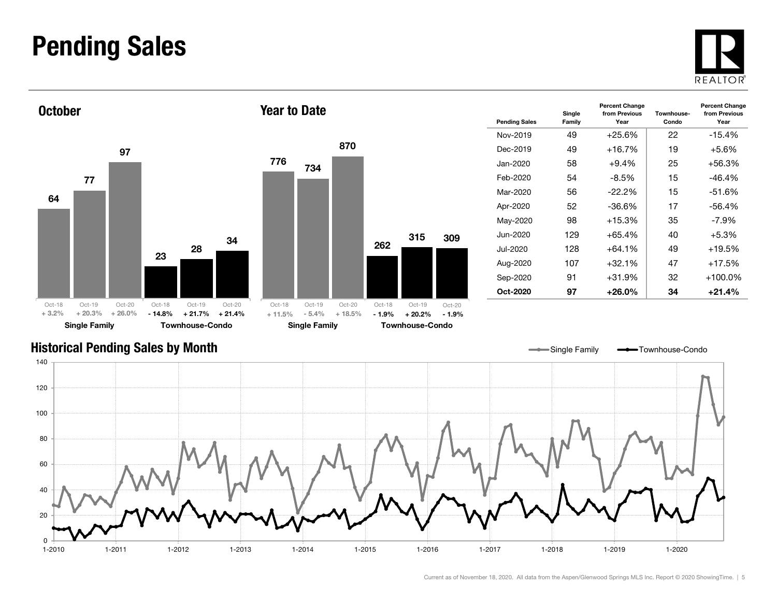### Pending Sales

**October** 







| <b>Pending Sales</b> | Single<br>Family | <b>Percent Change</b><br>from Previous<br>Year | Townhouse-<br>Condo | <b>Percent Change</b><br>from Previous<br>Year |
|----------------------|------------------|------------------------------------------------|---------------------|------------------------------------------------|
| Nov-2019             | 49               | $+25.6%$                                       | 22                  | $-15.4%$                                       |
| Dec-2019             | 49               | $+16.7%$                                       | 19                  | $+5.6\%$                                       |
| Jan-2020.            | 58               | $+9.4\%$                                       | 25                  | +56.3%                                         |
| Feb-2020             | 54               | $-8.5\%$                                       | 15                  | $-46.4%$                                       |
| Mar-2020             | 56               | $-22.2\%$                                      | 15                  | $-51.6%$                                       |
| Apr-2020             | 52               | -36.6%                                         | 17                  | $-56.4%$                                       |
| May-2020             | 98               | $+15.3%$                                       | 35                  | $-7.9\%$                                       |
| Jun-2020             | 129              | $+65.4%$                                       | 40                  | $+5.3%$                                        |
| Jul-2020             | 128              | $+64.1\%$                                      | 49                  | +19.5%                                         |
| Aug-2020             | 107              | $+32.1%$                                       | 47                  | +17.5%                                         |
| Sep-2020             | 91               | $+31.9%$                                       | 32                  | $+100.0\%$                                     |
| Oct-2020             | 97               | $+26.0\%$                                      | 34                  | +21.4%                                         |

Single Family **-** Townhouse-Condo

#### Historical Pending Sales by Month

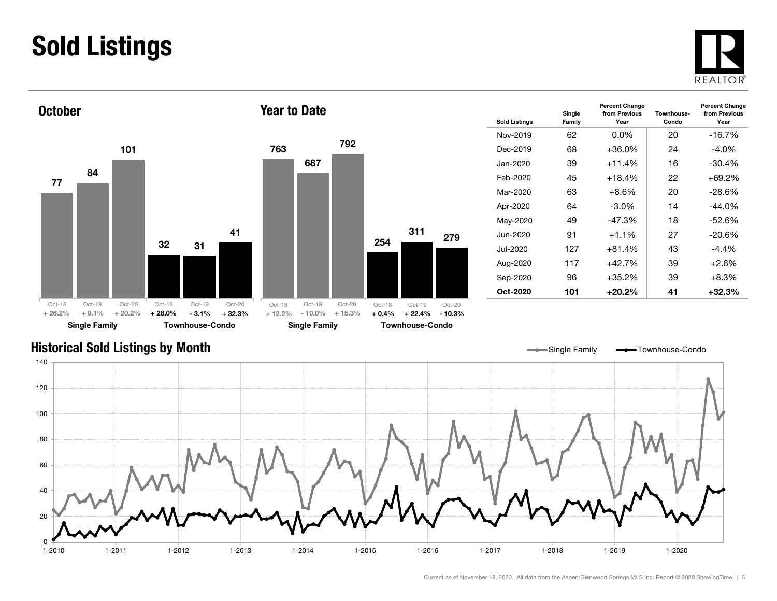### Sold Listings





| <b>Sold Listings</b> | Single<br>Family | <b>Percent Change</b><br>from Previous<br>Year | Townhouse-<br>Condo | <b>Percent Change</b><br>from Previous<br>Year |
|----------------------|------------------|------------------------------------------------|---------------------|------------------------------------------------|
| Nov-2019             | 62               | $0.0\%$                                        | 20                  | $-16.7%$                                       |
| Dec-2019             | 68               | $+36.0\%$                                      | 24                  | $-4.0\%$                                       |
| Jan-2020.            | 39               | $+11.4%$                                       | 16                  | $-30.4\%$                                      |
| Feb-2020             | 45               | $+18.4%$                                       | 22                  | $+69.2%$                                       |
| Mar-2020             | 63               | $+8.6%$                                        | 20                  | $-28.6%$                                       |
| Apr-2020             | 64               | $-3.0\%$                                       | 14                  | $-44.0\%$                                      |
| May-2020             | 49               | $-47.3%$                                       | 18                  | $-52.6%$                                       |
| Jun-2020             | 91               | $+1.1%$                                        | 27                  | $-20.6\%$                                      |
| Jul-2020             | 127              | $+81.4%$                                       | 43                  | $-4.4\%$                                       |
| Aug-2020             | 117              | $+42.7%$                                       | 39                  | $+2.6%$                                        |
| Sep-2020             | 96               | $+35.2%$                                       | 39                  | $+8.3%$                                        |
| Oct-2020             | 101              | $+20.2%$                                       | 41                  | +32.3%                                         |

#### Historical Sold Listings by Month

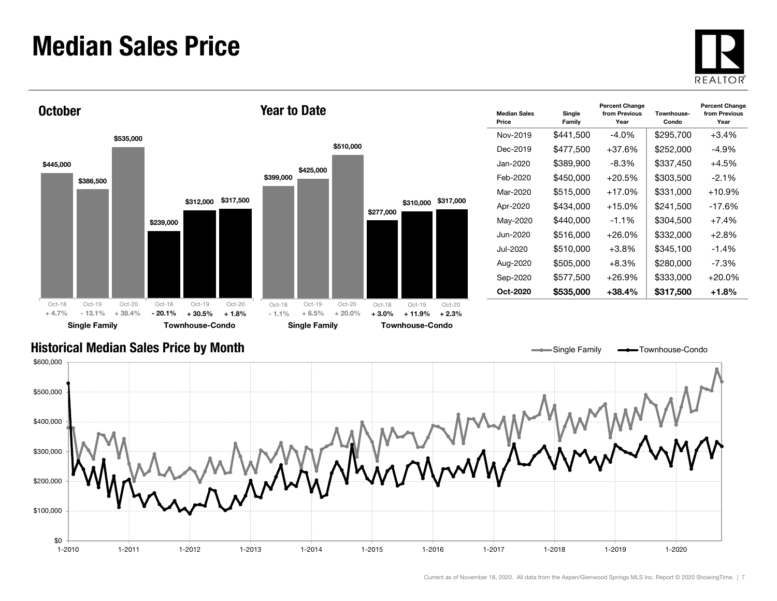### Median Sales Price





| <b>Median Sales</b><br>Price | Single<br>Family | <b>Percent Change</b><br>from Previous<br>Year | Townhouse-<br>Condo | <b>Percent Change</b><br>from Previous<br>Year |
|------------------------------|------------------|------------------------------------------------|---------------------|------------------------------------------------|
| Nov-2019                     | \$441,500        | $-4.0%$                                        | \$295,700           | $+3.4%$                                        |
| Dec-2019                     | \$477,500        | $+37.6%$                                       | \$252,000           | $-4.9%$                                        |
| Jan-2020.                    | \$389,900        | -8.3%                                          | \$337,450           | $+4.5%$                                        |
| Feb-2020                     | \$450,000        | $+20.5%$                                       | \$303,500           | $-2.1%$                                        |
| Mar-2020                     | \$515,000        | $+17.0%$                                       | \$331,000           | $+10.9%$                                       |
| Apr-2020                     | \$434,000        | $+15.0\%$                                      | \$241,500           | $-17.6\%$                                      |
| May-2020                     | \$440.000        | $-1.1%$                                        | \$304,500           | $+7.4%$                                        |
| Jun-2020                     | \$516,000        | +26.0%                                         | \$332,000           | $+2.8%$                                        |
| Jul-2020.                    | \$510,000        | $+3.8\%$                                       | \$345,100           | $-1.4%$                                        |
| Aug-2020                     | \$505.000        | $+8.3%$                                        | \$280,000           | $-7.3\%$                                       |
| Sep-2020                     | \$577,500        | +26.9%                                         | \$333,000           | $+20.0\%$                                      |
| Oct-2020                     | \$535,000        | +38.4%                                         | \$317,500           | +1.8%                                          |

Single Family **-** Townhouse-Condo

#### Historical Median Sales Price by Month

\$0 \$100,000 \$200,000 \$300,000 \$400,000 \$500,000 \$600,000 1-2010 1-2011 1-2012 1-2013 1-2014 1-2015 1-2016 1-2017 1-2018 1-2019 1-20201-2020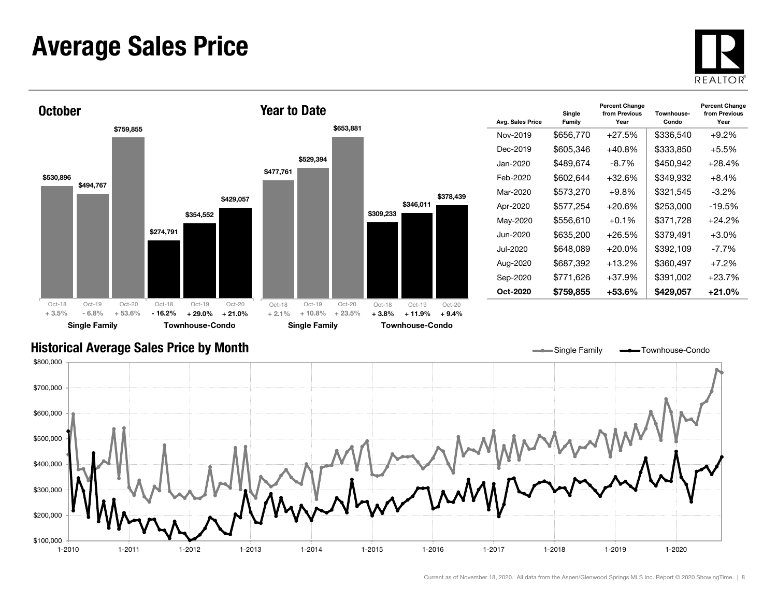### Average Sales Price





| Avg. Sales Price | Single<br>Family | <b>Percent Change</b><br>from Previous<br>Year | Townhouse-<br>Condo | <b>Percent Change</b><br>from Previous<br>Year |
|------------------|------------------|------------------------------------------------|---------------------|------------------------------------------------|
| Nov-2019         | \$656,770        | $+27.5%$                                       | \$336,540           | $+9.2%$                                        |
| Dec-2019         | \$605,346        | $+40.8%$                                       | \$333,850           | $+5.5%$                                        |
| Jan-2020         | \$489,674        | -8.7%                                          | \$450,942           | $+28.4%$                                       |
| Feb-2020         | \$602,644        | $+32.6%$                                       | \$349,932           | $+8.4%$                                        |
| Mar-2020         | \$573,270        | $+9.8%$                                        | \$321,545           | $-3.2\%$                                       |
| Apr-2020         | \$577,254        | $+20.6%$                                       | \$253,000           | $-19.5\%$                                      |
| May-2020         | \$556,610        | $+0.1\%$                                       | \$371,728           | $+24.2%$                                       |
| Jun-2020         | \$635,200        | $+26.5%$                                       | \$379,491           | $+3.0\%$                                       |
| Jul-2020         | \$648,089        | $+20.0\%$                                      | \$392,109           | -7.7%                                          |
| Aug-2020         | \$687,392        | $+13.2%$                                       | \$360,497           | $+7.2%$                                        |
| Sep-2020         | \$771,626        | $+37.9%$                                       | \$391,002           | $+23.7%$                                       |
| Oct-2020         | \$759,855        | +53.6%                                         | \$429,057           | $+21.0%$                                       |

#### Historical Average Sales Price by Month

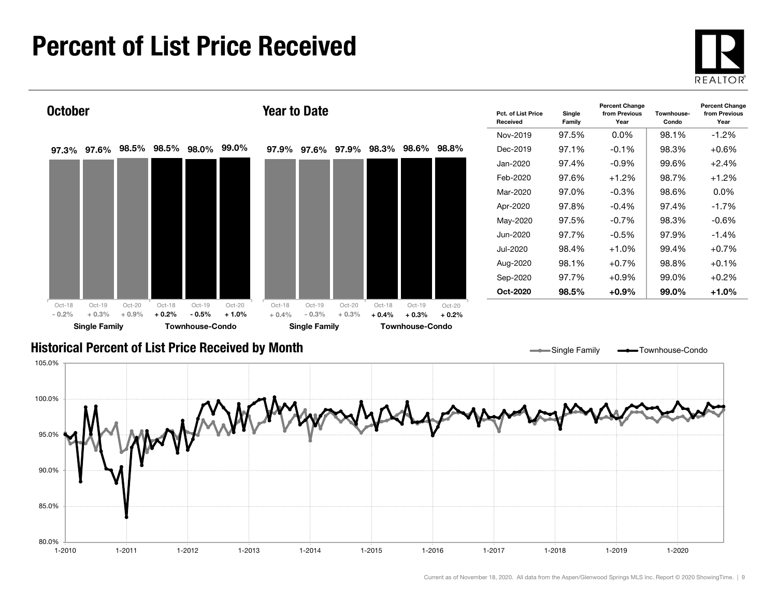### Percent of List Price Received

80.0%

85.0%

90.0%





1-2010 1-2011 1-2012 1-2013 1-2014 1-2015 1-2016 1-2017 1-2018 1-2019 1-2020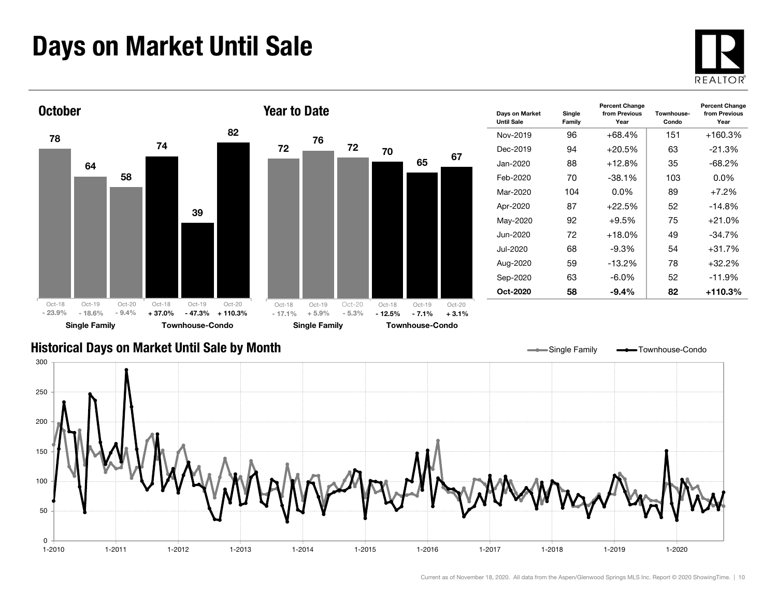### Days on Market Until Sale





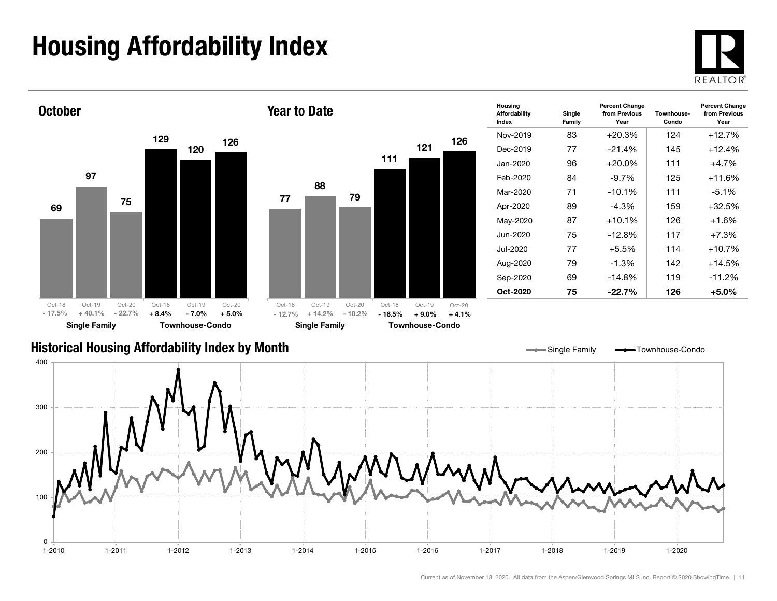## Housing Affordability Index

 $\Omega$ 

100

200





1-2010 1-2011 1-2012 1-2013 1-2014 1-2015 1-2016 1-2017 1-2018 1-2019 1-2020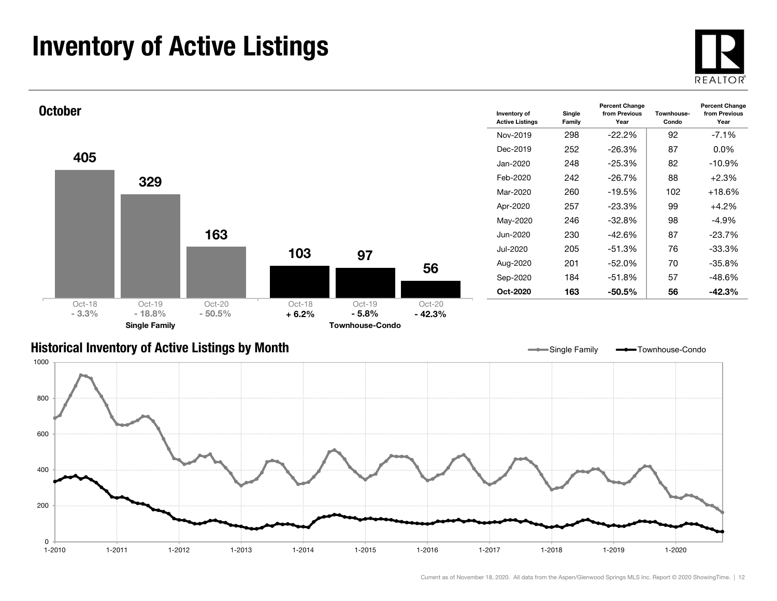### Inventory of Active Listings





#### Historical Inventory of Active Listings by Month



Single Family **- Townhouse-Condo**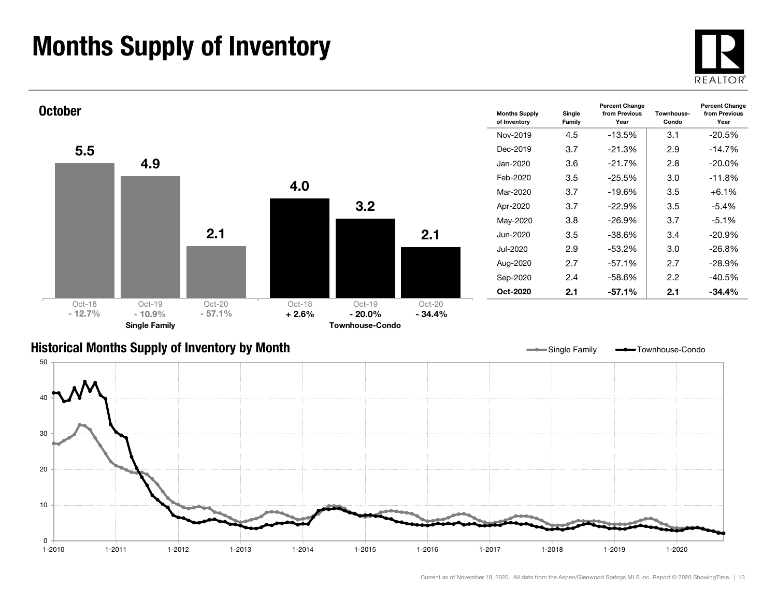### Months Supply of Inventory





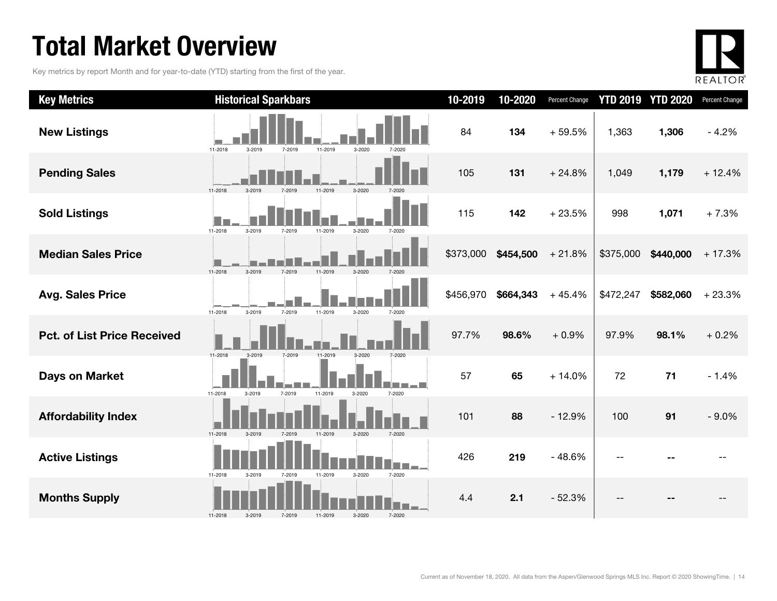### Total Market Overview

Key metrics by report Month and for year-to-date (YTD) starting from the first of the year.



| <b>Key Metrics</b>                 | <b>Historical Sparkbars</b>                                    | 10-2019   | 10-2020   | <b>Percent Change</b> |           | <b>YTD 2019 YTD 2020</b> | Percent Change |
|------------------------------------|----------------------------------------------------------------|-----------|-----------|-----------------------|-----------|--------------------------|----------------|
| <b>New Listings</b>                | 11-2018<br>3-2019<br>11-2019<br>3-2020<br>7-2019<br>7-2020     | 84        | 134       | $+59.5%$              | 1,363     | 1,306                    | $-4.2%$        |
| <b>Pending Sales</b>               | 11-2018<br>3-2020<br>3-2019<br>7-2019<br>11-2019               | 105       | 131       | $+24.8%$              | 1,049     | 1,179                    | $+12.4%$       |
| <b>Sold Listings</b>               | 11-2018<br>3-2019<br>11-2019<br>3-2020<br>7-2019<br>7-2020     | 115       | 142       | $+23.5%$              | 998       | 1,071                    | $+7.3%$        |
| <b>Median Sales Price</b>          | 11-2018<br>7-2019<br>3-2020<br>11-2019                         | \$373,000 | \$454,500 | $+21.8%$              | \$375,000 | \$440,000                | $+17.3%$       |
| <b>Avg. Sales Price</b>            | 11-2018<br>3-2019<br>7-2019<br>11-2019<br>3-2020<br>7-2020     | \$456,970 | \$664,343 | $+45.4%$              | \$472,247 | \$582,060                | $+23.3%$       |
| <b>Pct. of List Price Received</b> | 11-2018<br>3-2019<br>7-2019<br>11-2019<br>3-2020               | 97.7%     | 98.6%     | $+0.9%$               | 97.9%     | 98.1%                    | $+0.2%$        |
| <b>Days on Market</b>              | 11-2018<br>7-2019<br>11-2019<br>3-2019<br>3-2020<br>7-2020     | 57        | 65        | $+14.0%$              | 72        | 71                       | $-1.4%$        |
| <b>Affordability Index</b>         | 11-2018<br>$3 - 2020$<br>11-2019<br>7-2020<br>3-2019<br>7-2019 | 101       | 88        | $-12.9%$              | 100       | 91                       | $-9.0%$        |
| <b>Active Listings</b>             | 11-2018<br>3-2020<br>7-2020<br>3-2019<br>7-2019<br>11-2019     | 426       | 219       | $-48.6%$              |           |                          |                |
| <b>Months Supply</b>               | 11-2018<br>3-2019<br>7-2019<br>11-2019<br>3-2020<br>7-2020     | 4.4       | 2.1       | $-52.3%$              |           |                          |                |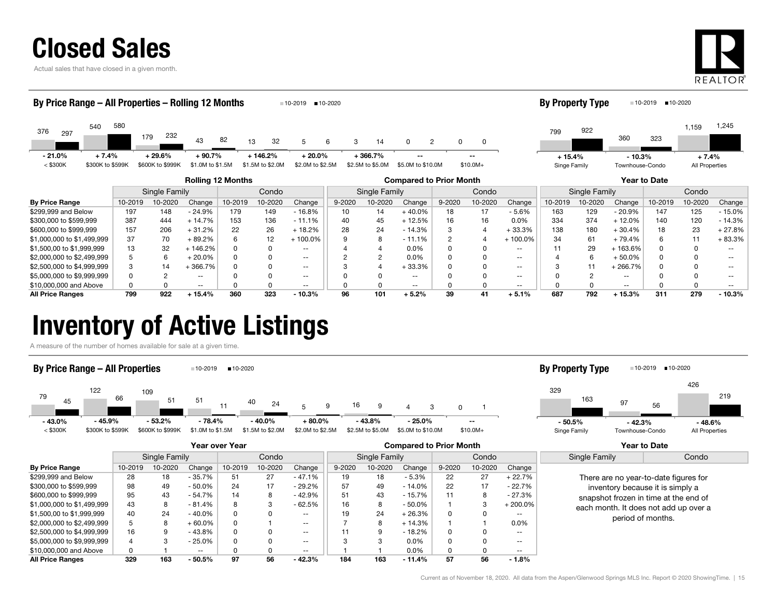

Actual sales that have closed in a given month.



#### **By Price Range** | 10-2019 10-2020 Change | 10-2019 10-2020 Change | 9-2020 10-2020 10-2020 Change | 10-2019 10-2000 10-2020 10-2020 Change | 10-2019 10-2020 Change | 10-2019 10-2020 Change | 10-2019 10-Rolling 12 Months Compared to Prior Month Year to Date Single Family Condo || Single Family | Condo || Single Family | Condo 376 <sup>540</sup> 179 $3^{3}$   $-2^{2}$   $43^{3}$  82 3 <sup>82</sup> 13 32 32 5 5 6 3 14 0 2 0 297<br>2007 - 2008 179 232 43 82 13 32 5 6 3 14 0 2 5802322 5 6 6 3 14 0 2 0 0  $<$  \$300K  $=$  \$300K to \$599K \$600K to \$999K \$1.0M to \$1.5M \$1.5M to \$2.0M \$2.0M to \$2.5M \$2.5M to \$5.0M \$5.0M \$10.0M \$10.0M+ By Price Range – All Properties – Rolling 12 Months 10-2019 10-2020 7993601,159 <sup>922</sup>3231,245 Singe Family Townhouse-Condo All Properties By Property Type = 10-2019 = 10-2020 --- 21.0% $+ 7.4\% + 29.6\% + 90.7\%$  + 146.2% + 20.0% + 366.7% -- + 15.4% $+ 15.4\%$  - 10.3% + 7.4%

| by Frice Ralige            | 10-2019 | 10-2020 | Unange   | 10-2019 | 10-2020 | Unange   | 9-ZUZU | 10-2020 | Unange    | 9-ZUZU | 10-2020 | Unange  | 10-2019 | 10-2020 | Unange   | 10-2019 | 10-2020 | Unange   |
|----------------------------|---------|---------|----------|---------|---------|----------|--------|---------|-----------|--------|---------|---------|---------|---------|----------|---------|---------|----------|
| \$299,999 and Below        | 197     | 148     | $-24.9%$ | 179     | 149     | $-16.8%$ |        | 14      | $+40.0\%$ | 18     |         | $-5.6%$ | 163     | 129     | $-20.9%$ | 147     | 125     | $-15.0%$ |
| \$300,000 to \$599,999     | 387     | 444     | 14.7%    | 153     | 136     | $-11.1%$ |        | 45      | $+12.5%$  | 16     |         | 0.0%    | 334     | 374     | - 12.0%  | 140     | 120     | $-14.3%$ |
| \$600,000 to \$999.999     | 157     | 206     | + 31.2%  | 22      | 26      | 18.2%    | 28     | 24      | $-14.3%$  |        |         | +33.3%  | 138     | 180     | $+30.4%$ | 18      | 23      | $+27.8%$ |
| \$1,000,000 to \$1,499,999 | 37      | 70      | 89.2%    |         |         | 100.0%   |        |         | $-11.1%$  |        |         | 100.0%  |         | 61      | - 79.4%  |         |         | + 83.3%  |
| \$1,500,00 to \$1,999,999  | 13      | 32      | 146.2%   |         |         | $- -$    |        |         | $0.0\%$   |        |         | --      |         | 29      | 163.6%   |         |         |          |
| \$2,000,000 to \$2,499,999 |         |         | $20.0\%$ |         |         | $- -$    |        |         | $0.0\%$   |        |         |         |         |         | + 50.0%  |         |         |          |
| \$2,500,000 to \$4,999,999 |         | 14      | 366.7%   |         |         | $- -$    |        |         | +33.3%    |        |         |         |         |         | 266.7%   |         |         |          |
| \$5,000,000 to \$9,999,999 |         |         | $- -$    |         |         | $- -$    |        |         |           |        |         |         |         |         |          |         |         |          |
| \$10,000,000 and Above     |         |         | $- -$    |         |         | $- -$    |        |         | --        |        |         |         |         |         | $- -$    |         |         |          |
| <b>All Price Ranges</b>    | 799     | 922     | + 15.4%  | 360     | 323     | $-10.3%$ | 96     | 101     | $+5.2%$   | 39     | 41      | + 5.1%  | 687     | 792     | $+15.3%$ | 311     | 279     | $-10.3%$ |

### Inventory of Active Listings

A measure of the number of homes available for sale at a given time.

#### By Price Range – All Properties 10-2019 10-2020



#### 32997 426163 56219Singe Family Townhouse-Condo All Properties By Property Type 10-2019 10-2020 - 42.3% - 48.6%

|                            |         |               |           | Year over Year |         |          |            |                        | <b>Compared to Prior Month</b> |        |         | Year to Date |               |                                       |  |
|----------------------------|---------|---------------|-----------|----------------|---------|----------|------------|------------------------|--------------------------------|--------|---------|--------------|---------------|---------------------------------------|--|
|                            |         | Single Family |           |                | Condo   |          |            | Single Family<br>Condo |                                |        |         |              | Single Family | Condo                                 |  |
| <b>By Price Range</b>      | 10-2019 | 10-2020       | Change    | 10-2019        | 10-2020 | Change   | $9 - 2020$ | 10-2020                | Change                         | 9-2020 | 10-2020 | Change       |               |                                       |  |
| \$299.999 and Below        | 28      | 18            | $-35.7%$  | 51             | 27      | $-47.1%$ | 19         | 18                     | $-5.3\%$                       | 22     | 27      | $+22.7%$     |               | There are no year-to-date figures for |  |
| \$300,000 to \$599,999     | 98      | 49            | $-50.0\%$ | 24             | 17      | $-29.2%$ | 57         | 49                     | $-14.0\%$                      | 22     | 17      | $-22.7%$     |               | inventory because it is simply a      |  |
| \$600,000 to \$999.999     | 95      | 43            | $-54.7%$  | 14             | 8       | $-42.9%$ | 51         | 43                     | - 15.7%                        |        | 8       | - 27.3%      |               | snapshot frozen in time at the end of |  |
| \$1,000,000 to \$1,499,999 | 43      | 8             | $-81.4%$  | 8              |         | $-62.5%$ | 16         |                        | - 50.0%                        |        |         | $+200.0\%$   |               | each month. It does not add up over a |  |
| \$1,500,00 to \$1,999,999  | 40      | 24            | $-40.0%$  | 0              |         | $- -$    | 19         | 24                     | $+26.3%$                       |        |         | $- -$        |               | period of months.                     |  |
| \$2,000,000 to \$2,499,999 | 5       | 8             | $+60.0\%$ | 0              |         | $- -$    |            |                        | $+14.3%$                       |        |         | $0.0\%$      |               |                                       |  |
| \$2,500,000 to \$4,999,999 | 16      | 9             | $-43.8%$  | 0              |         | $- -$    |            |                        | - 18.2%                        |        |         | $- -$        |               |                                       |  |
| \$5,000,000 to \$9,999,999 | 4       |               | $-25.0%$  | 0              |         | $- -$    |            | 3                      | $0.0\%$                        |        |         | $- -$        |               |                                       |  |
| \$10,000,000 and Above     |         |               | $- -$     |                |         | $- -$    |            |                        | $0.0\%$                        |        |         | $- -$        |               |                                       |  |
| <b>All Price Ranges</b>    | 329     | 163           | $-50.5%$  | 97             | 56      | $-42.3%$ | 184        | 163                    | $-11.4\%$                      | 57     | 56      | - 1.8%       |               |                                       |  |